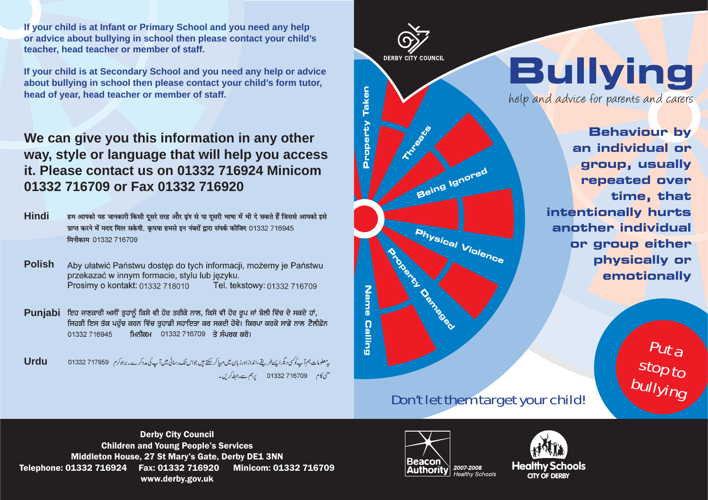**If your child is at Infant or Primary School and you need any help or advice about bullying in school then please contact your child's teacher, head teacher or member of staff.**

**If your child is at Secondary School and you need any help or advice about bullying in school then please contact your child's form tutor, head of year, head teacher or member of staff.**

#### **We can give you this information in any other way, style or language that will help you access it. Please contact us on 01332 716924 Minicom 01332 716709 or Fax 01332 716920**

**Hindi**हम आपको यह जानकारी किसी दुसरे तरह और ढ़ंग से या दुसरी भाषा में भी दे सकते हैं जिससे आपको इसे प्राप्त करने में मदद मिल सकेगी. कृपया हमसे इन नंबरों द्वारा संपर्क कीजिए 01332 716945 मिनीकाम 01332 716709

**Polish**Aby ułatwić Państwu dostęp do tych informacji, możemy je Państwu przekazać w innym formacie, stylu lub jezyku. Tel. tekstowy: 01332 716709 Prosimy o kontakt: 01332 718010

Puniabi ਇਹ ਜਾਣਕਾਰੀ ਅਸੀਂ ਤੁਹਾਨੂੰ ਕਿਸੇ ਵੀ ਹੋਰ ਤਰੀਕੇ ਨਾਲ, ਕਿਸੇ ਵੀ ਹੋਰ ਰੂਪ ਜਾਂ ਬੋਲੀ ਵਿੱਚ ਦੇ ਸਕਦੇ ਹਾਂ, ਜਿਹੜੀ ਇਸ ਤੱਕ ਪਹੰਚ ਕਰਨ ਵਿੱਚ ਤਹਾਡੀ ਸਹਾਇਤਾ ਕਰ ਸਕਦੀ ਹੋਵੇ। ਕਿਰਪਾ ਕਰਕੇ ਸਾਡੇ ਨਾਲ ਟੈਲੀਫ਼ੋਨ 01332 716945 ਮਿਨੀਕਮ 01332 716709 ਤੇ ਸੰਪਰਕ ਕਰੋ।

**Urdu** $\frac{5}{5}$  and them target your child!

**DERBY CITY COUNCIL Property Taken Reports Being Island Physical Violence Name Name Calling**

# **Bullying**

help and advice for parents and carers

**Behaviour by an individual or group, usually repeated over time, that intentionally hurts another individual or group either physically or emotionally**

### Don't let them target your child!

Derby City Council Children and Young People's Services Middleton House, 27 St Mary's Gate, Derby DE1 3NN Telephone: 01332 716924 Fax: 01332 716920 Minicom: 01332 716709 www.derby.gov.uk CITY CITY CITY OF DERBY